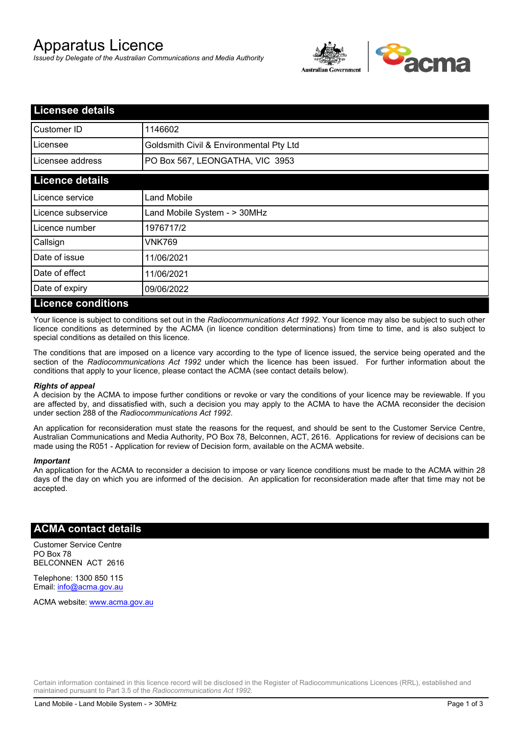# Apparatus Licence

*Issued by Delegate of the Australian Communications and Media Authority*



| <b>Licensee details</b>   |                                         |  |  |
|---------------------------|-----------------------------------------|--|--|
| Customer ID               | 1146602                                 |  |  |
| Licensee                  | Goldsmith Civil & Environmental Pty Ltd |  |  |
| Licensee address          | PO Box 567, LEONGATHA, VIC 3953         |  |  |
| <b>Licence details</b>    |                                         |  |  |
| Licence service           | <b>Land Mobile</b>                      |  |  |
| Licence subservice        | Land Mobile System - > 30MHz            |  |  |
| Licence number            | 1976717/2                               |  |  |
| Callsign                  | VNK769                                  |  |  |
| Date of issue             | 11/06/2021                              |  |  |
| Date of effect            | 11/06/2021                              |  |  |
| Date of expiry            | 09/06/2022                              |  |  |
| <b>Licence conditions</b> |                                         |  |  |

Your licence is subject to conditions set out in the *Radiocommunications Act 1992*. Your licence may also be subject to such other licence conditions as determined by the ACMA (in licence condition determinations) from time to time, and is also subject to special conditions as detailed on this licence.

The conditions that are imposed on a licence vary according to the type of licence issued, the service being operated and the section of the *Radiocommunications Act 1992* under which the licence has been issued. For further information about the conditions that apply to your licence, please contact the ACMA (see contact details below).

#### *Rights of appeal*

A decision by the ACMA to impose further conditions or revoke or vary the conditions of your licence may be reviewable. If you are affected by, and dissatisfied with, such a decision you may apply to the ACMA to have the ACMA reconsider the decision under section 288 of the *Radiocommunications Act 1992*.

An application for reconsideration must state the reasons for the request, and should be sent to the Customer Service Centre, Australian Communications and Media Authority, PO Box 78, Belconnen, ACT, 2616. Applications for review of decisions can be made using the R051 - Application for review of Decision form, available on the ACMA website.

#### *Important*

An application for the ACMA to reconsider a decision to impose or vary licence conditions must be made to the ACMA within 28 days of the day on which you are informed of the decision. An application for reconsideration made after that time may not be accepted.

#### **ACMA contact details**

Customer Service Centre PO Box 78 BELCONNEN ACT 2616

Telephone: 1300 850 115 Email: info@acma.gov.au

ACMA website: www.acma.gov.au

Certain information contained in this licence record will be disclosed in the Register of Radiocommunications Licences (RRL), established and maintained pursuant to Part 3.5 of the *Radiocommunications Act 1992.*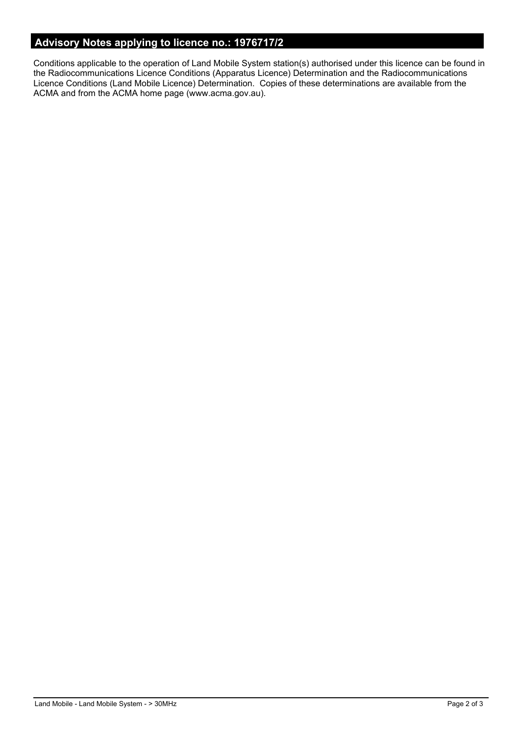## **Advisory Notes applying to licence no.: 1976717/2**

Conditions applicable to the operation of Land Mobile System station(s) authorised under this licence can be found in the Radiocommunications Licence Conditions (Apparatus Licence) Determination and the Radiocommunications Licence Conditions (Land Mobile Licence) Determination. Copies of these determinations are available from the ACMA and from the ACMA home page (www.acma.gov.au).